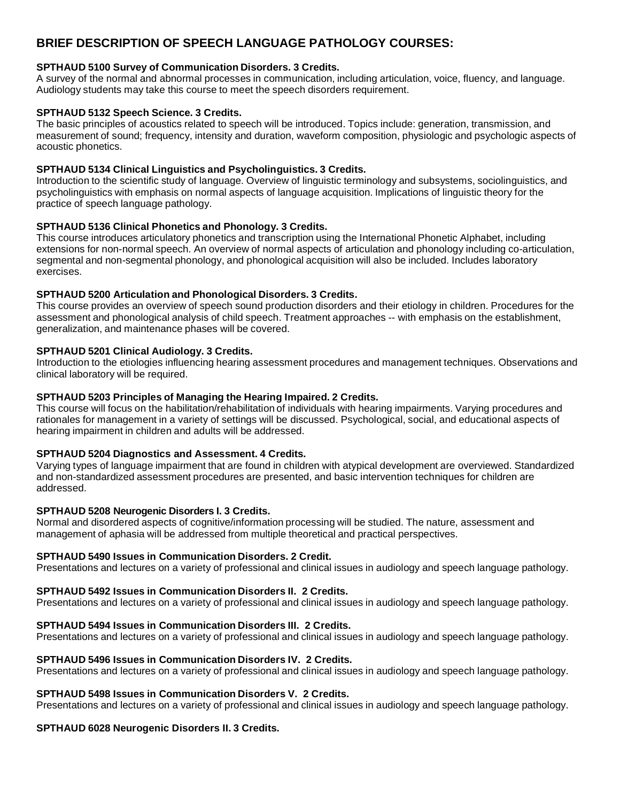# **BRIEF DESCRIPTION OF SPEECH LANGUAGE PATHOLOGY COURSES:**

### **SPTHAUD 5100 Survey of Communication Disorders. 3 Credits.**

A survey of the normal and abnormal processes in communication, including articulation, voice, fluency, and language. Audiology students may take this course to meet the speech disorders requirement.

### **SPTHAUD 5132 Speech Science. 3 Credits.**

The basic principles of acoustics related to speech will be introduced. Topics include: generation, transmission, and measurement of sound; frequency, intensity and duration, waveform composition, physiologic and psychologic aspects of acoustic phonetics.

### **SPTHAUD 5134 Clinical Linguistics and Psycholinguistics. 3 Credits.**

Introduction to the scientific study of language. Overview of linguistic terminology and subsystems, sociolinguistics, and psycholinguistics with emphasis on normal aspects of language acquisition. Implications of linguistic theory for the practice of speech language pathology.

### **SPTHAUD 5136 Clinical Phonetics and Phonology. 3 Credits.**

This course introduces articulatory phonetics and transcription using the International Phonetic Alphabet, including extensions for non-normal speech. An overview of normal aspects of articulation and phonology including co-articulation, segmental and non-segmental phonology, and phonological acquisition will also be included. Includes laboratory exercises.

### **SPTHAUD 5200 Articulation and Phonological Disorders. 3 Credits.**

This course provides an overview of speech sound production disorders and their etiology in children. Procedures for the assessment and phonological analysis of child speech. Treatment approaches -- with emphasis on the establishment, generalization, and maintenance phases will be covered.

### **SPTHAUD 5201 Clinical Audiology. 3 Credits.**

Introduction to the etiologies influencing hearing assessment procedures and management techniques. Observations and clinical laboratory will be required.

### **SPTHAUD 5203 Principles of Managing the Hearing Impaired. 2 Credits.**

This course will focus on the habilitation/rehabilitation of individuals with hearing impairments. Varying procedures and rationales for management in a variety of settings will be discussed. Psychological, social, and educational aspects of hearing impairment in children and adults will be addressed.

#### **SPTHAUD 5204 Diagnostics and Assessment. 4 Credits.**

Varying types of language impairment that are found in children with atypical development are overviewed. Standardized and non-standardized assessment procedures are presented, and basic intervention techniques for children are addressed.

#### **SPTHAUD 5208 Neurogenic Disorders I. 3 Credits.**

Normal and disordered aspects of cognitive/information processing will be studied. The nature, assessment and management of aphasia will be addressed from multiple theoretical and practical perspectives.

#### **SPTHAUD 5490 Issues in Communication Disorders. 2 Credit.**

Presentations and lectures on a variety of professional and clinical issues in audiology and speech language pathology.

# **SPTHAUD 5492 Issues in Communication Disorders II. 2 Credits.**

Presentations and lectures on a variety of professional and clinical issues in audiology and speech language pathology.

# **SPTHAUD 5494 Issues in Communication Disorders III. 2 Credits.**

Presentations and lectures on a variety of professional and clinical issues in audiology and speech language pathology.

#### **SPTHAUD 5496 Issues in Communication Disorders IV. 2 Credits.**

Presentations and lectures on a variety of professional and clinical issues in audiology and speech language pathology.

#### **SPTHAUD 5498 Issues in Communication Disorders V. 2 Credits.**

Presentations and lectures on a variety of professional and clinical issues in audiology and speech language pathology.

#### **SPTHAUD 6028 Neurogenic Disorders II. 3 Credits.**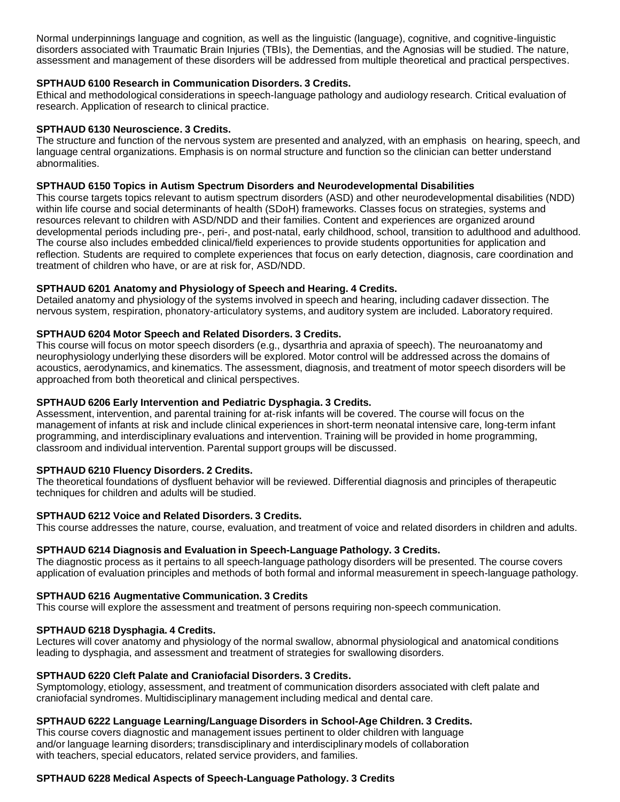Normal underpinnings language and cognition, as well as the linguistic (language), cognitive, and cognitive-linguistic disorders associated with Traumatic Brain Injuries (TBIs), the Dementias, and the Agnosias will be studied. The nature, assessment and management of these disorders will be addressed from multiple theoretical and practical perspectives.

### **SPTHAUD 6100 Research in Communication Disorders. 3 Credits.**

Ethical and methodological considerations in speech-language pathology and audiology research. Critical evaluation of research. Application of research to clinical practice.

### **SPTHAUD 6130 Neuroscience. 3 Credits.**

The structure and function of the nervous system are presented and analyzed, with an emphasis on hearing, speech, and language central organizations. Emphasis is on normal structure and function so the clinician can better understand abnormalities.

### **SPTHAUD 6150 Topics in Autism Spectrum Disorders and Neurodevelopmental Disabilities**

This course targets topics relevant to autism spectrum disorders (ASD) and other neurodevelopmental disabilities (NDD) within life course and social determinants of health (SDoH) frameworks. Classes focus on strategies, systems and resources relevant to children with ASD/NDD and their families. Content and experiences are organized around developmental periods including pre-, peri-, and post-natal, early childhood, school, transition to adulthood and adulthood. The course also includes embedded clinical/field experiences to provide students opportunities for application and reflection. Students are required to complete experiences that focus on early detection, diagnosis, care coordination and treatment of children who have, or are at risk for, ASD/NDD.

### **SPTHAUD 6201 Anatomy and Physiology of Speech and Hearing. 4 Credits.**

Detailed anatomy and physiologyof the systems involved in speech and hearing, including cadaver dissection. The nervous system, respiration, phonatory-articulatory systems, and auditory system are included. Laboratory required.

### **SPTHAUD 6204 Motor Speech and Related Disorders. 3 Credits.**

This course will focus on motor speech disorders (e.g., dysarthria and apraxia of speech). The neuroanatomyand neurophysiologyunderlying these disorders will be explored. Motor control will be addressed across the domains of acoustics, aerodynamics, and kinematics. The assessment, diagnosis, and treatment of motor speech disorders will be approached from both theoretical and clinical perspectives.

### **SPTHAUD 6206 Early Intervention and Pediatric Dysphagia. 3 Credits.**

Assessment, intervention, and parental training for at-risk infants will be covered. The course will focus on the management of infants at risk and include clinical experiences in short-term neonatal intensive care, long-term infant programming, and interdisciplinary evaluations and intervention. Training will be provided in home programming, classroom and individual intervention. Parental support groups will be discussed.

#### **SPTHAUD 6210 Fluency Disorders. 2 Credits.**

The theoretical foundations of dysfluent behavior will be reviewed. Differential diagnosis and principles of therapeutic techniques for children and adults will be studied.

#### **SPTHAUD 6212 Voice and Related Disorders. 3 Credits.**

This course addresses the nature, course, evaluation, and treatment of voice and related disorders in children and adults.

### **SPTHAUD 6214 Diagnosis and Evaluation in Speech-Language Pathology. 3 Credits.**

The diagnostic process as it pertains to all speech-language pathology disorders will be presented. The course covers application of evaluation principles and methods of both formal and informal measurement in speech-language pathology.

#### **SPTHAUD 6216 Augmentative Communication. 3 Credits**

This course will explore the assessment and treatment of persons requiring non-speech communication.

#### **SPTHAUD 6218 Dysphagia. 4 Credits.**

Lectures will cover anatomy and physiology of the normal swallow, abnormal physiological and anatomical conditions leading to dysphagia, and assessment and treatment of strategies for swallowing disorders.

#### **SPTHAUD 6220 Cleft Palate and Craniofacial Disorders. 3 Credits.**

Symptomology, etiology, assessment, and treatment of communication disorders associated with cleft palate and craniofacial syndromes. Multidisciplinary management including medical and dental care.

#### **SPTHAUD 6222 Language Learning/Language Disorders in School-Age Children. 3 Credits.**

This course covers diagnostic and management issues pertinent to older children with language and/or language learning disorders; transdisciplinaryand interdisciplinary models of collaboration with teachers, special educators, related service providers, and families.

#### **SPTHAUD 6228 Medical Aspects of Speech-Language Pathology. 3 Credits**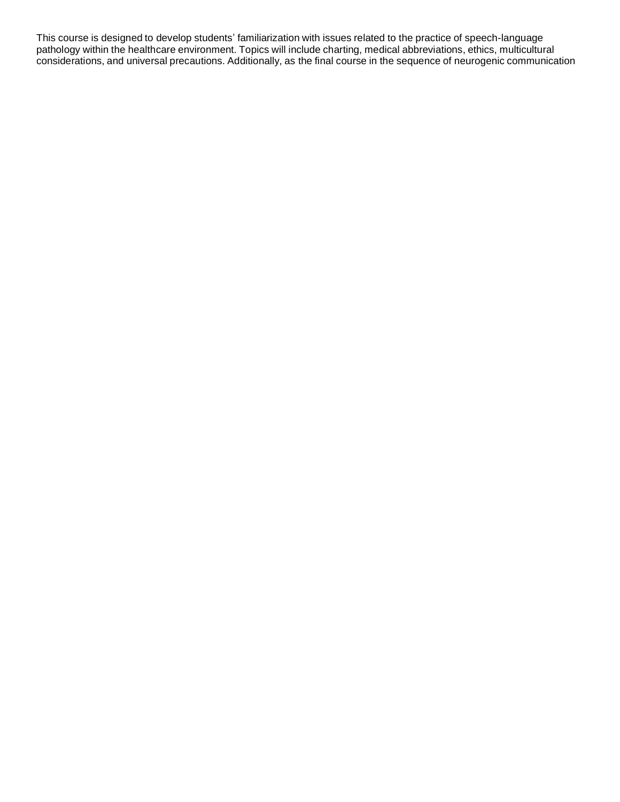This course is designed to develop students' familiarization with issues related to the practice of speech-language pathology within the healthcare environment. Topics will include charting, medical abbreviations, ethics, multicultural considerations, and universal precautions. Additionally, as the final course in the sequence of neurogenic communication